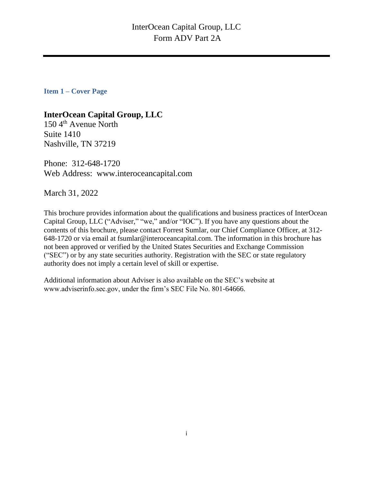<span id="page-0-0"></span>**Item 1 – Cover Page**

## **InterOcean Capital Group, LLC**

 $150 \, 4$ <sup>th</sup> Avenue North Suite 1410 Nashville, TN 37219

Phone: 312-648-1720 Web Address: www.interoceancapital.com

March 31, 2022

This brochure provides information about the qualifications and business practices of InterOcean Capital Group, LLC ("Adviser," "we," and/or "IOC"). If you have any questions about the contents of this brochure, please contact Forrest Sumlar, our Chief Compliance Officer, at 312- 648-1720 or via email at fsumlar@interoceancapital.com. The information in this brochure has not been approved or verified by the United States Securities and Exchange Commission ("SEC") or by any state securities authority. Registration with the SEC or state regulatory authority does not imply a certain level of skill or expertise.

Additional information about Adviser is also available on the SEC's website at www.adviserinfo.sec.gov, under the firm's SEC File No. 801-64666.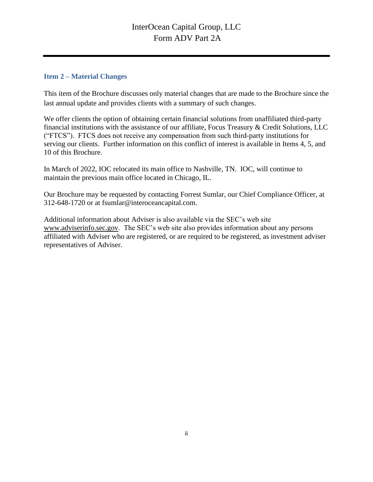## <span id="page-1-0"></span>**Item 2 – Material Changes**

This item of the Brochure discusses only material changes that are made to the Brochure since the last annual update and provides clients with a summary of such changes.

We offer clients the option of obtaining certain financial solutions from unaffiliated third-party financial institutions with the assistance of our affiliate, Focus Treasury & Credit Solutions, LLC ("FTCS"). FTCS does not receive any compensation from such third-party institutions for serving our clients. Further information on this conflict of interest is available in Items 4, 5, and 10 of this Brochure.

In March of 2022, IOC relocated its main office to Nashville, TN. IOC, will continue to maintain the previous main office located in Chicago, IL.

Our Brochure may be requested by contacting Forrest Sumlar, our Chief Compliance Officer, at 312-648-1720 or at fsumlar@interoceancapital.com.

Additional information about Adviser is also available via the SEC's web site [www.adviserinfo.sec.gov.](http://www.adviserinfo.sec.gov/) The SEC's web site also provides information about any persons affiliated with Adviser who are registered, or are required to be registered, as investment adviser representatives of Adviser.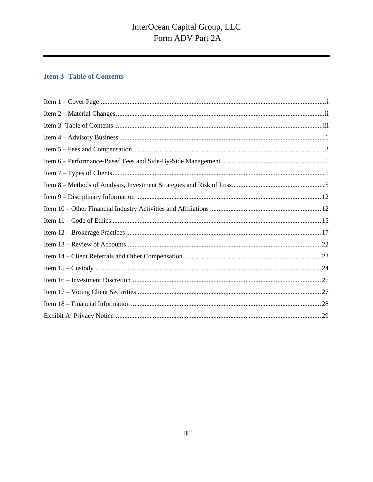## <span id="page-2-0"></span>**Item 3 - Table of Contents**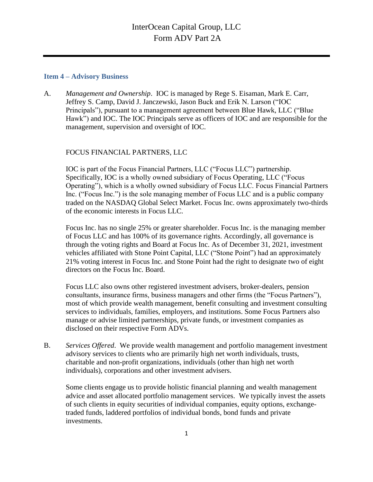#### <span id="page-3-0"></span>**Item 4 – Advisory Business**

A. *Management and Ownership*. IOC is managed by Rege S. Eisaman, Mark E. Carr, Jeffrey S. Camp, David J. Janczewski, Jason Buck and Erik N. Larson ("IOC Principals"), pursuant to a management agreement between Blue Hawk, LLC ("Blue Hawk") and IOC. The IOC Principals serve as officers of IOC and are responsible for the management, supervision and oversight of IOC.

## FOCUS FINANCIAL PARTNERS, LLC

IOC is part of the Focus Financial Partners, LLC ("Focus LLC") partnership. Specifically, IOC is a wholly owned subsidiary of Focus Operating, LLC ("Focus Operating"), which is a wholly owned subsidiary of Focus LLC. Focus Financial Partners Inc. ("Focus Inc.") is the sole managing member of Focus LLC and is a public company traded on the NASDAQ Global Select Market. Focus Inc. owns approximately two-thirds of the economic interests in Focus LLC.

Focus Inc. has no single 25% or greater shareholder. Focus Inc. is the managing member of Focus LLC and has 100% of its governance rights. Accordingly, all governance is through the voting rights and Board at Focus Inc. As of December 31, 2021, investment vehicles affiliated with Stone Point Capital, LLC ("Stone Point") had an approximately 21% voting interest in Focus Inc. and Stone Point had the right to designate two of eight directors on the Focus Inc. Board.

Focus LLC also owns other registered investment advisers, broker-dealers, pension consultants, insurance firms, business managers and other firms (the "Focus Partners"), most of which provide wealth management, benefit consulting and investment consulting services to individuals, families, employers, and institutions. Some Focus Partners also manage or advise limited partnerships, private funds, or investment companies as disclosed on their respective Form ADVs.

B. *Services Offered*. We provide wealth management and portfolio management investment advisory services to clients who are primarily high net worth individuals, trusts, charitable and non-profit organizations, individuals (other than high net worth individuals), corporations and other investment advisers.

Some clients engage us to provide holistic financial planning and wealth management advice and asset allocated portfolio management services. We typically invest the assets of such clients in equity securities of individual companies, equity options, exchangetraded funds, laddered portfolios of individual bonds, bond funds and private investments.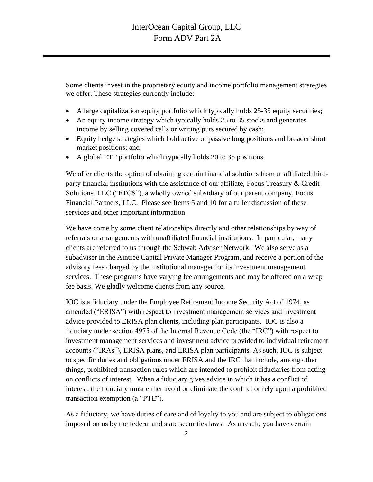Some clients invest in the proprietary equity and income portfolio management strategies we offer. These strategies currently include:

- A large capitalization equity portfolio which typically holds 25-35 equity securities;
- An equity income strategy which typically holds 25 to 35 stocks and generates income by selling covered calls or writing puts secured by cash;
- Equity hedge strategies which hold active or passive long positions and broader short market positions; and
- A global ETF portfolio which typically holds 20 to 35 positions.

We offer clients the option of obtaining certain financial solutions from unaffiliated thirdparty financial institutions with the assistance of our affiliate, Focus Treasury & Credit Solutions, LLC ("FTCS"), a wholly owned subsidiary of our parent company, Focus Financial Partners, LLC. Please see Items 5 and 10 for a fuller discussion of these services and other important information.

We have come by some client relationships directly and other relationships by way of referrals or arrangements with unaffiliated financial institutions. In particular, many clients are referred to us through the Schwab Adviser Network. We also serve as a subadviser in the Aintree Capital Private Manager Program, and receive a portion of the advisory fees charged by the institutional manager for its investment management services. These programs have varying fee arrangements and may be offered on a wrap fee basis. We gladly welcome clients from any source.

IOC is a fiduciary under the Employee Retirement Income Security Act of 1974, as amended ("ERISA") with respect to investment management services and investment advice provided to ERISA plan clients, including plan participants. IOC is also a fiduciary under section 4975 of the Internal Revenue Code (the "IRC") with respect to investment management services and investment advice provided to individual retirement accounts ("IRAs"), ERISA plans, and ERISA plan participants. As such, IOC is subject to specific duties and obligations under ERISA and the IRC that include, among other things, prohibited transaction rules which are intended to prohibit fiduciaries from acting on conflicts of interest. When a fiduciary gives advice in which it has a conflict of interest, the fiduciary must either avoid or eliminate the conflict or rely upon a prohibited transaction exemption (a "PTE").

As a fiduciary, we have duties of care and of loyalty to you and are subject to obligations imposed on us by the federal and state securities laws. As a result, you have certain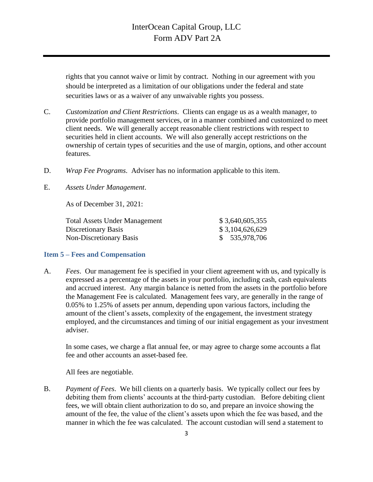rights that you cannot waive or limit by contract. Nothing in our agreement with you should be interpreted as a limitation of our obligations under the federal and state securities laws or as a waiver of any unwaivable rights you possess.

- C. *Customization and Client Restrictions*. Clients can engage us as a wealth manager, to provide portfolio management services, or in a manner combined and customized to meet client needs. We will generally accept reasonable client restrictions with respect to securities held in client accounts. We will also generally accept restrictions on the ownership of certain types of securities and the use of margin, options, and other account features.
- D. *Wrap Fee Programs*. Adviser has no information applicable to this item.
- E. *Assets Under Management*.

As of December 31, 2021:

| \$3,640,605,355 |
|-----------------|
| \$3,104,626,629 |
| \$ 535,978,706  |
|                 |

### <span id="page-5-0"></span>**Item 5 – Fees and Compensation**

A. *Fees*. Our management fee is specified in your client agreement with us, and typically is expressed as a percentage of the assets in your portfolio, including cash, cash equivalents and accrued interest. Any margin balance is netted from the assets in the portfolio before the Management Fee is calculated. Management fees vary, are generally in the range of 0.05% to 1.25% of assets per annum, depending upon various factors, including the amount of the client's assets, complexity of the engagement, the investment strategy employed, and the circumstances and timing of our initial engagement as your investment adviser.

In some cases, we charge a flat annual fee, or may agree to charge some accounts a flat fee and other accounts an asset-based fee.

All fees are negotiable.

B. *Payment of Fees*. We bill clients on a quarterly basis. We typically collect our fees by debiting them from clients' accounts at the third-party custodian. Before debiting client fees, we will obtain client authorization to do so, and prepare an invoice showing the amount of the fee, the value of the client's assets upon which the fee was based, and the manner in which the fee was calculated. The account custodian will send a statement to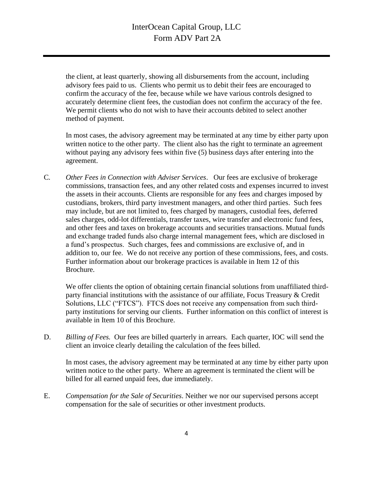the client, at least quarterly, showing all disbursements from the account, including advisory fees paid to us. Clients who permit us to debit their fees are encouraged to confirm the accuracy of the fee, because while we have various controls designed to accurately determine client fees, the custodian does not confirm the accuracy of the fee. We permit clients who do not wish to have their accounts debited to select another method of payment.

In most cases, the advisory agreement may be terminated at any time by either party upon written notice to the other party. The client also has the right to terminate an agreement without paying any advisory fees within five (5) business days after entering into the agreement.

C*. Other Fees in Connection with Adviser Services*. Our fees are exclusive of brokerage commissions, transaction fees, and any other related costs and expenses incurred to invest the assets in their accounts. Clients are responsible for any fees and charges imposed by custodians, brokers, third party investment managers, and other third parties. Such fees may include, but are not limited to, fees charged by managers, custodial fees, deferred sales charges, odd-lot differentials, transfer taxes, wire transfer and electronic fund fees, and other fees and taxes on brokerage accounts and securities transactions. Mutual funds and exchange traded funds also charge internal management fees, which are disclosed in a fund's prospectus. Such charges, fees and commissions are exclusive of, and in addition to, our fee. We do not receive any portion of these commissions, fees, and costs. Further information about our brokerage practices is available in Item 12 of this Brochure.

We offer clients the option of obtaining certain financial solutions from unaffiliated thirdparty financial institutions with the assistance of our affiliate, Focus Treasury & Credit Solutions, LLC ("FTCS"). FTCS does not receive any compensation from such thirdparty institutions for serving our clients. Further information on this conflict of interest is available in Item 10 of this Brochure.

D. *Billing of Fees.* Our fees are billed quarterly in arrears. Each quarter, IOC will send the client an invoice clearly detailing the calculation of the fees billed.

In most cases, the advisory agreement may be terminated at any time by either party upon written notice to the other party. Where an agreement is terminated the client will be billed for all earned unpaid fees, due immediately.

E. *Compensation for the Sale of Securities*. Neither we nor our supervised persons accept compensation for the sale of securities or other investment products.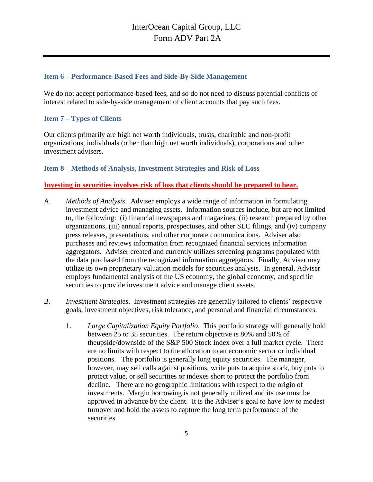### <span id="page-7-0"></span>**Item 6 – Performance-Based Fees and Side-By-Side Management**

We do not accept performance-based fees, and so do not need to discuss potential conflicts of interest related to side-by-side management of client accounts that pay such fees.

### <span id="page-7-1"></span>**Item 7 – Types of Clients**

Our clients primarily are high net worth individuals, trusts, charitable and non-profit organizations, individuals (other than high net worth individuals), corporations and other investment advisers.

### <span id="page-7-2"></span>**Item 8 – Methods of Analysis, Investment Strategies and Risk of Loss**

### **Investing in securities involves risk of loss that clients should be prepared to bear.**

- A. *Methods of Analysis*. Adviser employs a wide range of information in formulating investment advice and managing assets. Information sources include, but are not limited to, the following: (i) financial newspapers and magazines, (ii) research prepared by other organizations, (iii) annual reports, prospectuses, and other SEC filings, and (iv) company press releases, presentations, and other corporate communications. Adviser also purchases and reviews information from recognized financial services information aggregators. Adviser created and currently utilizes screening programs populated with the data purchased from the recognized information aggregators. Finally, Adviser may utilize its own proprietary valuation models for securities analysis. In general, Adviser employs fundamental analysis of the US economy, the global economy, and specific securities to provide investment advice and manage client assets.
- B. *Investment Strategies*. Investment strategies are generally tailored to clients' respective goals, investment objectives, risk tolerance, and personal and financial circumstances.
	- 1. *Large Capitalization Equity Portfolio*. This portfolio strategy will generally hold between 25 to 35 securities. The return objective is 80% and 50% of theupside/downside of the S&P 500 Stock Index over a full market cycle. There are no limits with respect to the allocation to an economic sector or individual positions. The portfolio is generally long equity securities. The manager, however, may sell calls against positions, write puts to acquire stock, buy puts to protect value, or sell securities or indexes short to protect the portfolio from decline. There are no geographic limitations with respect to the origin of investments. Margin borrowing is not generally utilized and its use must be approved in advance by the client. It is the Adviser's goal to have low to modest turnover and hold the assets to capture the long term performance of the securities.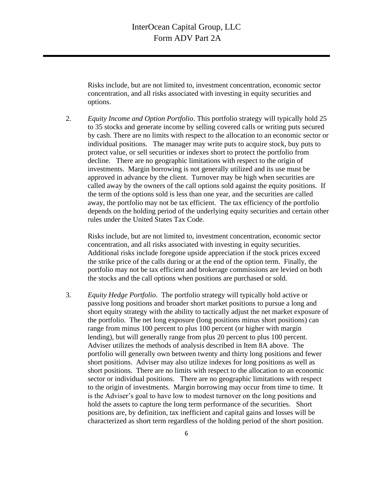Risks include, but are not limited to, investment concentration, economic sector concentration, and all risks associated with investing in equity securities and options.

2. *Equity Income and Option Portfolio*. This portfolio strategy will typically hold 25 to 35 stocks and generate income by selling covered calls or writing puts secured by cash. There are no limits with respect to the allocation to an economic sector or individual positions. The manager may write puts to acquire stock, buy puts to protect value, or sell securities or indexes short to protect the portfolio from decline. There are no geographic limitations with respect to the origin of investments. Margin borrowing is not generally utilized and its use must be approved in advance by the client. Turnover may be high when securities are called away by the owners of the call options sold against the equity positions. If the term of the options sold is less than one year, and the securities are called away, the portfolio may not be tax efficient. The tax efficiency of the portfolio depends on the holding period of the underlying equity securities and certain other rules under the United States Tax Code.

Risks include, but are not limited to, investment concentration, economic sector concentration, and all risks associated with investing in equity securities. Additional risks include foregone upside appreciation if the stock prices exceed the strike price of the calls during or at the end of the option term. Finally, the portfolio may not be tax efficient and brokerage commissions are levied on both the stocks and the call options when positions are purchased or sold.

3. *Equity Hedge Portfolio*. The portfolio strategy will typically hold active or passive long positions and broader short market positions to pursue a long and short equity strategy with the ability to tactically adjust the net market exposure of the portfolio. The net long exposure (long positions minus short positions) can range from minus 100 percent to plus 100 percent (or higher with margin lending), but will generally range from plus 20 percent to plus 100 percent. Adviser utilizes the methods of analysis described in Item 8A above. The portfolio will generally own between twenty and thirty long positions and fewer short positions. Adviser may also utilize indexes for long positions as well as short positions. There are no limits with respect to the allocation to an economic sector or individual positions. There are no geographic limitations with respect to the origin of investments. Margin borrowing may occur from time to time. It is the Adviser's goal to have low to modest turnover on the long positions and hold the assets to capture the long term performance of the securities. Short positions are, by definition, tax inefficient and capital gains and losses will be characterized as short term regardless of the holding period of the short position.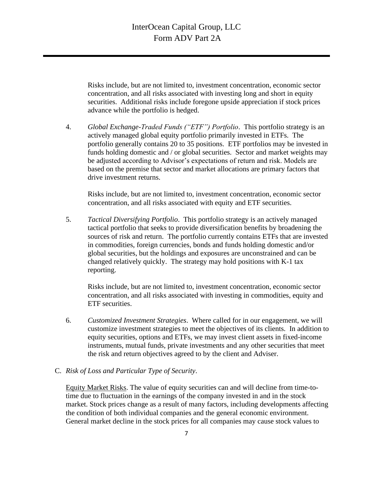Risks include, but are not limited to, investment concentration, economic sector concentration, and all risks associated with investing long and short in equity securities. Additional risks include foregone upside appreciation if stock prices advance while the portfolio is hedged.

4. *Global Exchange-Traded Funds ("ETF") Portfolio*. This portfolio strategy is an actively managed global equity portfolio primarily invested in ETFs. The portfolio generally contains 20 to 35 positions. ETF portfolios may be invested in funds holding domestic and / or global securities. Sector and market weights may be adjusted according to Advisor's expectations of return and risk. Models are based on the premise that sector and market allocations are primary factors that drive investment returns.

Risks include, but are not limited to, investment concentration, economic sector concentration, and all risks associated with equity and ETF securities.

5. *Tactical Diversifying Portfolio*. This portfolio strategy is an actively managed tactical portfolio that seeks to provide diversification benefits by broadening the sources of risk and return. The portfolio currently contains ETFs that are invested in commodities, foreign currencies, bonds and funds holding domestic and/or global securities, but the holdings and exposures are unconstrained and can be changed relatively quickly. The strategy may hold positions with K-1 tax reporting.

Risks include, but are not limited to, investment concentration, economic sector concentration, and all risks associated with investing in commodities, equity and ETF securities.

- 6. *Customized Investment Strategies*. Where called for in our engagement, we will customize investment strategies to meet the objectives of its clients. In addition to equity securities, options and ETFs, we may invest client assets in fixed-income instruments, mutual funds, private investments and any other securities that meet the risk and return objectives agreed to by the client and Adviser.
- C. *Risk of Loss and Particular Type of Security*.

Equity Market Risks. The value of equity securities can and will decline from time-totime due to fluctuation in the earnings of the company invested in and in the stock market. Stock prices change as a result of many factors, including developments affecting the condition of both individual companies and the general economic environment. General market decline in the stock prices for all companies may cause stock values to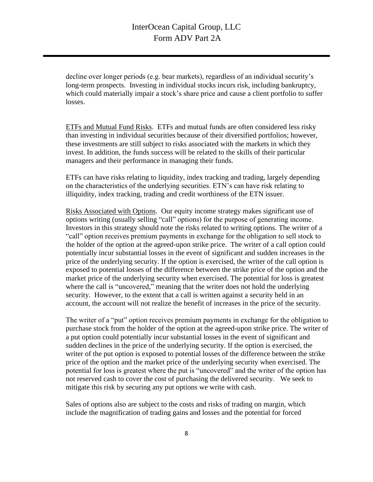decline over longer periods (e.g. bear markets), regardless of an individual security's long-term prospects. Investing in individual stocks incurs risk, including bankruptcy, which could materially impair a stock's share price and cause a client portfolio to suffer losses.

ETFs and Mutual Fund Risks. ETFs and mutual funds are often considered less risky than investing in individual securities because of their diversified portfolios; however, these investments are still subject to risks associated with the markets in which they invest. In addition, the funds success will be related to the skills of their particular managers and their performance in managing their funds.

ETFs can have risks relating to liquidity, index tracking and trading, largely depending on the characteristics of the underlying securities. ETN's can have risk relating to illiquidity, index tracking, trading and credit worthiness of the ETN issuer.

Risks Associated with Options. Our equity income strategy makes significant use of options writing (usually selling "call" options) for the purpose of generating income. Investors in this strategy should note the risks related to writing options. The writer of a "call" option receives premium payments in exchange for the obligation to sell stock to the holder of the option at the agreed-upon strike price. The writer of a call option could potentially incur substantial losses in the event of significant and sudden increases in the price of the underlying security. If the option is exercised, the writer of the call option is exposed to potential losses of the difference between the strike price of the option and the market price of the underlying security when exercised. The potential for loss is greatest where the call is "uncovered," meaning that the writer does not hold the underlying security. However, to the extent that a call is written against a security held in an account, the account will not realize the benefit of increases in the price of the security.

The writer of a "put" option receives premium payments in exchange for the obligation to purchase stock from the holder of the option at the agreed-upon strike price. The writer of a put option could potentially incur substantial losses in the event of significant and sudden declines in the price of the underlying security. If the option is exercised, the writer of the put option is exposed to potential losses of the difference between the strike price of the option and the market price of the underlying security when exercised. The potential for loss is greatest where the put is "uncovered" and the writer of the option has not reserved cash to cover the cost of purchasing the delivered security. We seek to mitigate this risk by securing any put options we write with cash.

Sales of options also are subject to the costs and risks of trading on margin, which include the magnification of trading gains and losses and the potential for forced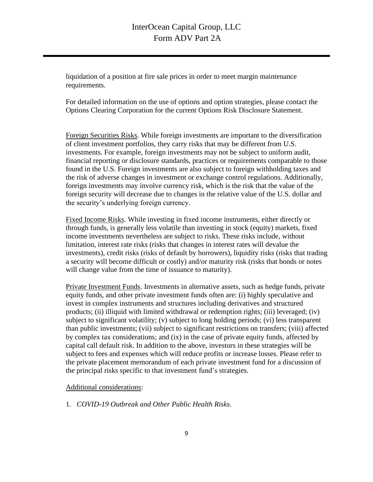liquidation of a position at fire sale prices in order to meet margin maintenance requirements.

For detailed information on the use of options and option strategies, please contact the Options Clearing Corporation for the current Options Risk Disclosure Statement.

Foreign Securities Risks. While foreign investments are important to the diversification of client investment portfolios, they carry risks that may be different from U.S. investments. For example, foreign investments may not be subject to uniform audit, financial reporting or disclosure standards, practices or requirements comparable to those found in the U.S. Foreign investments are also subject to foreign withholding taxes and the risk of adverse changes in investment or exchange control regulations. Additionally, foreign investments may involve currency risk, which is the risk that the value of the foreign security will decrease due to changes in the relative value of the U.S. dollar and the security's underlying foreign currency.

Fixed Income Risks. While investing in fixed income instruments, either directly or through funds, is generally less volatile than investing in stock (equity) markets, fixed income investments nevertheless are subject to risks. These risks include, without limitation, interest rate risks (risks that changes in interest rates will devalue the investments), credit risks (risks of default by borrowers), liquidity risks (risks that trading a security will become difficult or costly) and/or maturity risk (risks that bonds or notes will change value from the time of issuance to maturity).

Private Investment Funds. Investments in alternative assets, such as hedge funds, private equity funds, and other private investment funds often are: (i) highly speculative and invest in complex instruments and structures including derivatives and structured products; (ii) illiquid with limited withdrawal or redemption rights; (iii) leveraged; (iv) subject to significant volatility; (v) subject to long holding periods; (vi) less transparent than public investments; (vii) subject to significant restrictions on transfers; (viii) affected by complex tax considerations; and (ix) in the case of private equity funds, affected by capital call default risk. In addition to the above, investors in these strategies will be subject to fees and expenses which will reduce profits or increase losses. Please refer to the private placement memorandum of each private investment fund for a discussion of the principal risks specific to that investment fund's strategies.

#### Additional considerations:

1. *COVID-19 Outbreak and Other Public Health Risks*.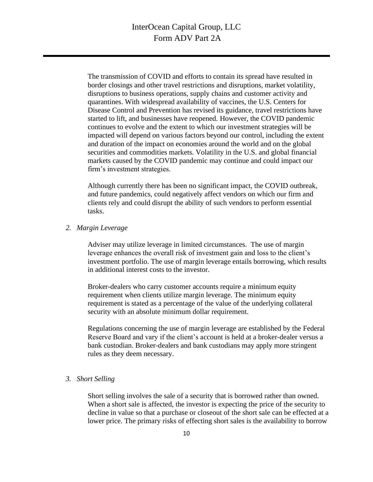The transmission of COVID and efforts to contain its spread have resulted in border closings and other travel restrictions and disruptions, market volatility, disruptions to business operations, supply chains and customer activity and quarantines. With widespread availability of vaccines, the U.S. Centers for Disease Control and Prevention has revised its guidance, travel restrictions have started to lift, and businesses have reopened. However, the COVID pandemic continues to evolve and the extent to which our investment strategies will be impacted will depend on various factors beyond our control, including the extent and duration of the impact on economies around the world and on the global securities and commodities markets. Volatility in the U.S. and global financial markets caused by the COVID pandemic may continue and could impact our firm's investment strategies.

Although currently there has been no significant impact, the COVID outbreak, and future pandemics, could negatively affect vendors on which our firm and clients rely and could disrupt the ability of such vendors to perform essential tasks.

#### *2. Margin Leverage*

Adviser may utilize leverage in limited circumstances. The use of margin leverage enhances the overall risk of investment gain and loss to the client's investment portfolio. The use of margin leverage entails borrowing, which results in additional interest costs to the investor.

Broker-dealers who carry customer accounts require a minimum equity requirement when clients utilize margin leverage. The minimum equity requirement is stated as a percentage of the value of the underlying collateral security with an absolute minimum dollar requirement.

Regulations concerning the use of margin leverage are established by the Federal Reserve Board and vary if the client's account is held at a broker-dealer versus a bank custodian. Broker-dealers and bank custodians may apply more stringent rules as they deem necessary.

#### *3. Short Selling*

Short selling involves the sale of a security that is borrowed rather than owned. When a short sale is affected, the investor is expecting the price of the security to decline in value so that a purchase or closeout of the short sale can be effected at a lower price. The primary risks of effecting short sales is the availability to borrow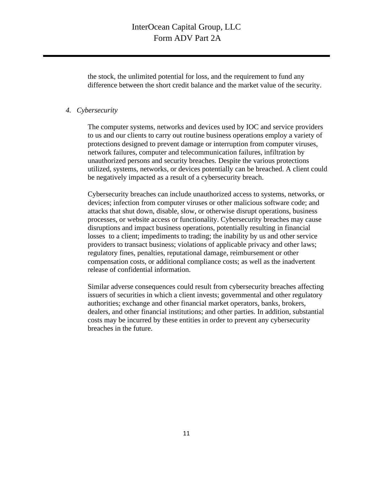the stock, the unlimited potential for loss, and the requirement to fund any difference between the short credit balance and the market value of the security.

#### *4. Cybersecurity*

The computer systems, networks and devices used by IOC and service providers to us and our clients to carry out routine business operations employ a variety of protections designed to prevent damage or interruption from computer viruses, network failures, computer and telecommunication failures, infiltration by unauthorized persons and security breaches. Despite the various protections utilized, systems, networks, or devices potentially can be breached. A client could be negatively impacted as a result of a cybersecurity breach.

Cybersecurity breaches can include unauthorized access to systems, networks, or devices; infection from computer viruses or other malicious software code; and attacks that shut down, disable, slow, or otherwise disrupt operations, business processes, or website access or functionality. Cybersecurity breaches may cause disruptions and impact business operations, potentially resulting in financial losses to a client; impediments to trading; the inability by us and other service providers to transact business; violations of applicable privacy and other laws; regulatory fines, penalties, reputational damage, reimbursement or other compensation costs, or additional compliance costs; as well as the inadvertent release of confidential information.

<span id="page-13-0"></span>Similar adverse consequences could result from cybersecurity breaches affecting issuers of securities in which a client invests; governmental and other regulatory authorities; exchange and other financial market operators, banks, brokers, dealers, and other financial institutions; and other parties. In addition, substantial costs may be incurred by these entities in order to prevent any cybersecurity breaches in the future.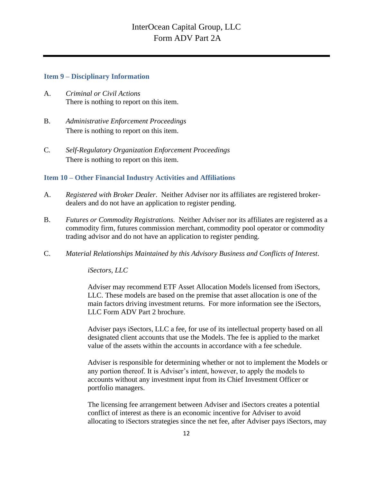#### **Item 9 – Disciplinary Information**

- A. *Criminal or Civil Actions* There is nothing to report on this item.
- B. *Administrative Enforcement Proceedings* There is nothing to report on this item.
- C*. Self-Regulatory Organization Enforcement Proceedings* There is nothing to report on this item.

## <span id="page-14-0"></span>**Item 10 – Other Financial Industry Activities and Affiliations**

- A. *Registered with Broker Dealer*. Neither Adviser nor its affiliates are registered brokerdealers and do not have an application to register pending.
- B. *Futures or Commodity Registrations*. Neither Adviser nor its affiliates are registered as a commodity firm, futures commission merchant, commodity pool operator or commodity trading advisor and do not have an application to register pending.
- C. *Material Relationships Maintained by this Advisory Business and Conflicts of Interest*.

*iSectors, LLC*

Adviser may recommend ETF Asset Allocation Models licensed from iSectors, LLC. These models are based on the premise that asset allocation is one of the main factors driving investment returns. For more information see the iSectors, LLC Form ADV Part 2 brochure.

Adviser pays iSectors, LLC a fee, for use of its intellectual property based on all designated client accounts that use the Models. The fee is applied to the market value of the assets within the accounts in accordance with a fee schedule.

Adviser is responsible for determining whether or not to implement the Models or any portion thereof. It is Adviser's intent, however, to apply the models to accounts without any investment input from its Chief Investment Officer or portfolio managers.

The licensing fee arrangement between Adviser and iSectors creates a potential conflict of interest as there is an economic incentive for Adviser to avoid allocating to iSectors strategies since the net fee, after Adviser pays iSectors, may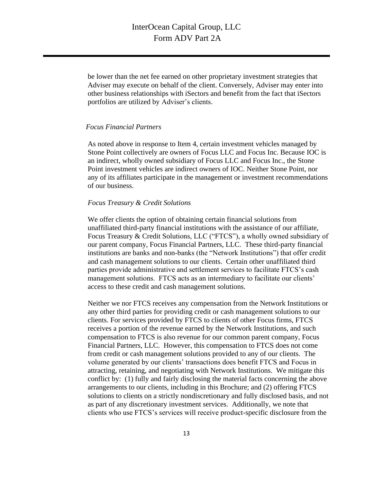be lower than the net fee earned on other proprietary investment strategies that Adviser may execute on behalf of the client. Conversely, Adviser may enter into other business relationships with iSectors and benefit from the fact that iSectors portfolios are utilized by Adviser's clients.

#### *Focus Financial Partners*

As noted above in response to Item 4, certain investment vehicles managed by Stone Point collectively are owners of Focus LLC and Focus Inc. Because IOC is an indirect, wholly owned subsidiary of Focus LLC and Focus Inc., the Stone Point investment vehicles are indirect owners of IOC. Neither Stone Point, nor any of its affiliates participate in the management or investment recommendations of our business.

#### *Focus Treasury & Credit Solutions*

We offer clients the option of obtaining certain financial solutions from unaffiliated third-party financial institutions with the assistance of our affiliate, Focus Treasury & Credit Solutions, LLC ("FTCS"), a wholly owned subsidiary of our parent company, Focus Financial Partners, LLC. These third-party financial institutions are banks and non-banks (the "Network Institutions") that offer credit and cash management solutions to our clients. Certain other unaffiliated third parties provide administrative and settlement services to facilitate FTCS's cash management solutions. FTCS acts as an intermediary to facilitate our clients' access to these credit and cash management solutions.

Neither we nor FTCS receives any compensation from the Network Institutions or any other third parties for providing credit or cash management solutions to our clients. For services provided by FTCS to clients of other Focus firms, FTCS receives a portion of the revenue earned by the Network Institutions, and such compensation to FTCS is also revenue for our common parent company, Focus Financial Partners, LLC. However, this compensation to FTCS does not come from credit or cash management solutions provided to any of our clients. The volume generated by our clients' transactions does benefit FTCS and Focus in attracting, retaining, and negotiating with Network Institutions. We mitigate this conflict by: (1) fully and fairly disclosing the material facts concerning the above arrangements to our clients, including in this Brochure; and (2) offering FTCS solutions to clients on a strictly nondiscretionary and fully disclosed basis, and not as part of any discretionary investment services. Additionally, we note that clients who use FTCS's services will receive product-specific disclosure from the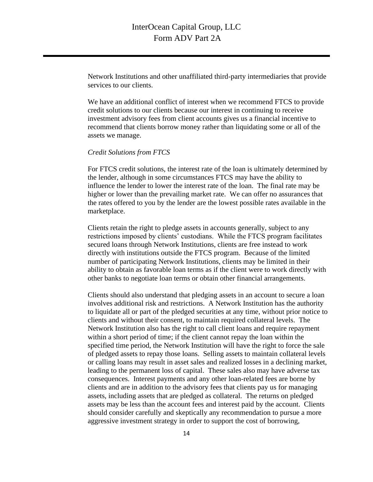Network Institutions and other unaffiliated third-party intermediaries that provide services to our clients.

We have an additional conflict of interest when we recommend FTCS to provide credit solutions to our clients because our interest in continuing to receive investment advisory fees from client accounts gives us a financial incentive to recommend that clients borrow money rather than liquidating some or all of the assets we manage.

#### *Credit Solutions from FTCS*

For FTCS credit solutions, the interest rate of the loan is ultimately determined by the lender, although in some circumstances FTCS may have the ability to influence the lender to lower the interest rate of the loan. The final rate may be higher or lower than the prevailing market rate. We can offer no assurances that the rates offered to you by the lender are the lowest possible rates available in the marketplace.

Clients retain the right to pledge assets in accounts generally, subject to any restrictions imposed by clients' custodians. While the FTCS program facilitates secured loans through Network Institutions, clients are free instead to work directly with institutions outside the FTCS program. Because of the limited number of participating Network Institutions, clients may be limited in their ability to obtain as favorable loan terms as if the client were to work directly with other banks to negotiate loan terms or obtain other financial arrangements.

Clients should also understand that pledging assets in an account to secure a loan involves additional risk and restrictions. A Network Institution has the authority to liquidate all or part of the pledged securities at any time, without prior notice to clients and without their consent, to maintain required collateral levels. The Network Institution also has the right to call client loans and require repayment within a short period of time; if the client cannot repay the loan within the specified time period, the Network Institution will have the right to force the sale of pledged assets to repay those loans. Selling assets to maintain collateral levels or calling loans may result in asset sales and realized losses in a declining market, leading to the permanent loss of capital. These sales also may have adverse tax consequences. Interest payments and any other loan-related fees are borne by clients and are in addition to the advisory fees that clients pay us for managing assets, including assets that are pledged as collateral. The returns on pledged assets may be less than the account fees and interest paid by the account. Clients should consider carefully and skeptically any recommendation to pursue a more aggressive investment strategy in order to support the cost of borrowing,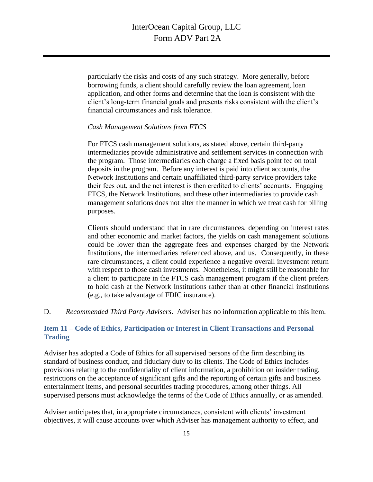particularly the risks and costs of any such strategy. More generally, before borrowing funds, a client should carefully review the loan agreement, loan application, and other forms and determine that the loan is consistent with the client's long-term financial goals and presents risks consistent with the client's financial circumstances and risk tolerance.

#### *Cash Management Solutions from FTCS*

For FTCS cash management solutions, as stated above, certain third-party intermediaries provide administrative and settlement services in connection with the program. Those intermediaries each charge a fixed basis point fee on total deposits in the program. Before any interest is paid into client accounts, the Network Institutions and certain unaffiliated third-party service providers take their fees out, and the net interest is then credited to clients' accounts. Engaging FTCS, the Network Institutions, and these other intermediaries to provide cash management solutions does not alter the manner in which we treat cash for billing purposes.

Clients should understand that in rare circumstances, depending on interest rates and other economic and market factors, the yields on cash management solutions could be lower than the aggregate fees and expenses charged by the Network Institutions, the intermediaries referenced above, and us. Consequently, in these rare circumstances, a client could experience a negative overall investment return with respect to those cash investments. Nonetheless, it might still be reasonable for a client to participate in the FTCS cash management program if the client prefers to hold cash at the Network Institutions rather than at other financial institutions (e.g., to take advantage of FDIC insurance).

### D. *Recommended Third Party Advisers*. Adviser has no information applicable to this Item.

### <span id="page-17-0"></span>**Item 11 – Code of Ethics, Participation or Interest in Client Transactions and Personal Trading**

Adviser has adopted a Code of Ethics for all supervised persons of the firm describing its standard of business conduct, and fiduciary duty to its clients. The Code of Ethics includes provisions relating to the confidentiality of client information, a prohibition on insider trading, restrictions on the acceptance of significant gifts and the reporting of certain gifts and business entertainment items, and personal securities trading procedures, among other things. All supervised persons must acknowledge the terms of the Code of Ethics annually, or as amended.

Adviser anticipates that, in appropriate circumstances, consistent with clients' investment objectives, it will cause accounts over which Adviser has management authority to effect, and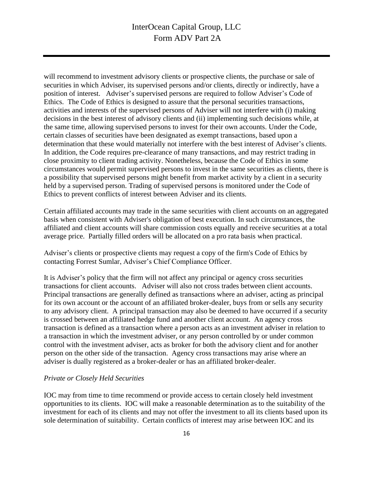will recommend to investment advisory clients or prospective clients, the purchase or sale of securities in which Adviser, its supervised persons and/or clients, directly or indirectly, have a position of interest. Adviser's supervised persons are required to follow Adviser's Code of Ethics. The Code of Ethics is designed to assure that the personal securities transactions, activities and interests of the supervised persons of Adviser will not interfere with (i) making decisions in the best interest of advisory clients and (ii) implementing such decisions while, at the same time, allowing supervised persons to invest for their own accounts. Under the Code, certain classes of securities have been designated as exempt transactions, based upon a determination that these would materially not interfere with the best interest of Adviser's clients. In addition, the Code requires pre-clearance of many transactions, and may restrict trading in close proximity to client trading activity. Nonetheless, because the Code of Ethics in some circumstances would permit supervised persons to invest in the same securities as clients, there is a possibility that supervised persons might benefit from market activity by a client in a security held by a supervised person. Trading of supervised persons is monitored under the Code of Ethics to prevent conflicts of interest between Adviser and its clients.

Certain affiliated accounts may trade in the same securities with client accounts on an aggregated basis when consistent with Adviser's obligation of best execution. In such circumstances, the affiliated and client accounts will share commission costs equally and receive securities at a total average price. Partially filled orders will be allocated on a pro rata basis when practical.

Adviser's clients or prospective clients may request a copy of the firm's Code of Ethics by contacting Forrest Sumlar, Adviser's Chief Compliance Officer.

It is Adviser's policy that the firm will not affect any principal or agency cross securities transactions for client accounts. Adviser will also not cross trades between client accounts. Principal transactions are generally defined as transactions where an adviser, acting as principal for its own account or the account of an affiliated broker-dealer, buys from or sells any security to any advisory client. A principal transaction may also be deemed to have occurred if a security is crossed between an affiliated hedge fund and another client account. An agency cross transaction is defined as a transaction where a person acts as an investment adviser in relation to a transaction in which the investment adviser, or any person controlled by or under common control with the investment adviser, acts as broker for both the advisory client and for another person on the other side of the transaction. Agency cross transactions may arise where an adviser is dually registered as a broker-dealer or has an affiliated broker-dealer.

#### *Private or Closely Held Securities*

IOC may from time to time recommend or provide access to certain closely held investment opportunities to its clients. IOC will make a reasonable determination as to the suitability of the investment for each of its clients and may not offer the investment to all its clients based upon its sole determination of suitability. Certain conflicts of interest may arise between IOC and its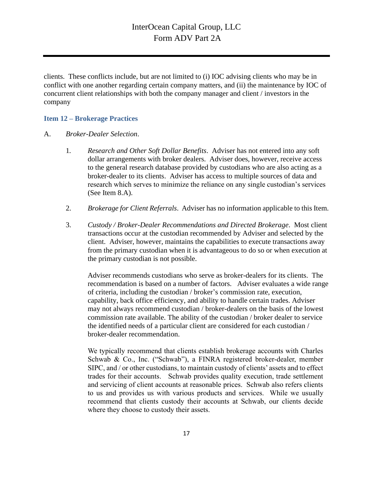clients. These conflicts include, but are not limited to (i) IOC advising clients who may be in conflict with one another regarding certain company matters, and (ii) the maintenance by IOC of concurrent client relationships with both the company manager and client / investors in the company

#### <span id="page-19-0"></span>**Item 12 – Brokerage Practices**

#### A. *Broker-Dealer Selection*.

- 1*. Research and Other Soft Dollar Benefits*. Adviser has not entered into any soft dollar arrangements with broker dealers. Adviser does, however, receive access to the general research database provided by custodians who are also acting as a broker-dealer to its clients. Adviser has access to multiple sources of data and research which serves to minimize the reliance on any single custodian's services (See Item 8.A).
- 2. *Brokerage for Client Referrals*. Adviser has no information applicable to this Item.
- 3. *Custody / Broker-Dealer Recommendations and Directed Brokerage*. Most client transactions occur at the custodian recommended by Adviser and selected by the client. Adviser, however, maintains the capabilities to execute transactions away from the primary custodian when it is advantageous to do so or when execution at the primary custodian is not possible.

Adviser recommends custodians who serve as broker-dealers for its clients. The recommendation is based on a number of factors. Adviser evaluates a wide range of criteria, including the custodian / broker's commission rate, execution, capability, back office efficiency, and ability to handle certain trades. Adviser may not always recommend custodian / broker-dealers on the basis of the lowest commission rate available. The ability of the custodian / broker dealer to service the identified needs of a particular client are considered for each custodian / broker-dealer recommendation.

We typically recommend that clients establish brokerage accounts with Charles Schwab & Co., Inc. ("Schwab"), a FINRA registered broker-dealer, member SIPC, and / or other custodians, to maintain custody of clients' assets and to effect trades for their accounts. Schwab provides quality execution, trade settlement and servicing of client accounts at reasonable prices. Schwab also refers clients to us and provides us with various products and services. While we usually recommend that clients custody their accounts at Schwab, our clients decide where they choose to custody their assets.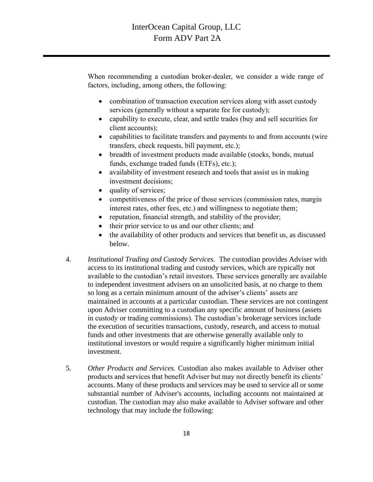When recommending a custodian broker-dealer, we consider a wide range of factors, including, among others, the following:

- combination of transaction execution services along with asset custody services (generally without a separate fee for custody);
- capability to execute, clear, and settle trades (buy and sell securities for client accounts);
- capabilities to facilitate transfers and payments to and from accounts (wire transfers, check requests, bill payment, etc.);
- breadth of investment products made available (stocks, bonds, mutual funds, exchange traded funds (ETFs), etc.);
- availability of investment research and tools that assist us in making investment decisions;
- quality of services;
- competitiveness of the price of those services (commission rates, margin interest rates, other fees, etc.) and willingness to negotiate them;
- reputation, financial strength, and stability of the provider;
- their prior service to us and our other clients; and
- the availability of other products and services that benefit us, as discussed below.
- 4. *Institutional Trading and Custody Services.* The custodian provides Adviser with access to its institutional trading and custody services, which are typically not available to the custodian's retail investors. These services generally are available to independent investment advisers on an unsolicited basis, at no charge to them so long as a certain minimum amount of the adviser's clients' assets are maintained in accounts at a particular custodian. These services are not contingent upon Adviser committing to a custodian any specific amount of business (assets in custody or trading commissions). The custodian's brokerage services include the execution of securities transactions, custody, research, and access to mutual funds and other investments that are otherwise generally available only to institutional investors or would require a significantly higher minimum initial investment.
- 5. *Other Products and Services.* Custodian also makes available to Adviser other products and services that benefit Adviser but may not directly benefit its clients' accounts. Many of these products and services may be used to service all or some substantial number of Adviser's accounts, including accounts not maintained at custodian. The custodian may also make available to Adviser software and other technology that may include the following: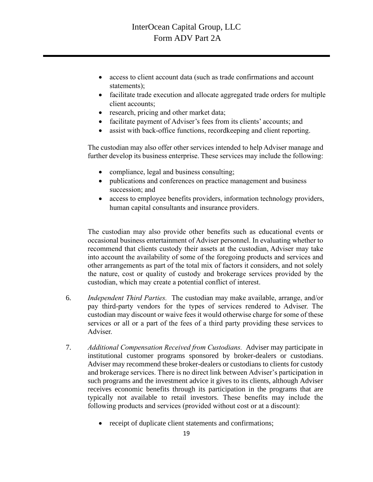- access to client account data (such as trade confirmations and account statements);
- facilitate trade execution and allocate aggregated trade orders for multiple client accounts;
- research, pricing and other market data;
- facilitate payment of Adviser's fees from its clients' accounts; and
- assist with back-office functions, recordkeeping and client reporting.

The custodian may also offer other services intended to help Adviser manage and further develop its business enterprise. These services may include the following:

- compliance, legal and business consulting;
- publications and conferences on practice management and business succession; and
- access to employee benefits providers, information technology providers, human capital consultants and insurance providers.

The custodian may also provide other benefits such as educational events or occasional business entertainment of Adviser personnel. In evaluating whether to recommend that clients custody their assets at the custodian, Adviser may take into account the availability of some of the foregoing products and services and other arrangements as part of the total mix of factors it considers, and not solely the nature, cost or quality of custody and brokerage services provided by the custodian, which may create a potential conflict of interest.

- 6. *Independent Third Parties.* The custodian may make available, arrange, and/or pay third-party vendors for the types of services rendered to Adviser. The custodian may discount or waive fees it would otherwise charge for some of these services or all or a part of the fees of a third party providing these services to Adviser.
- 7. *Additional Compensation Received from Custodians.* Adviser may participate in institutional customer programs sponsored by broker-dealers or custodians. Adviser may recommend these broker-dealers or custodians to clients for custody and brokerage services. There is no direct link between Adviser's participation in such programs and the investment advice it gives to its clients, although Adviser receives economic benefits through its participation in the programs that are typically not available to retail investors. These benefits may include the following products and services (provided without cost or at a discount):
	- receipt of duplicate client statements and confirmations;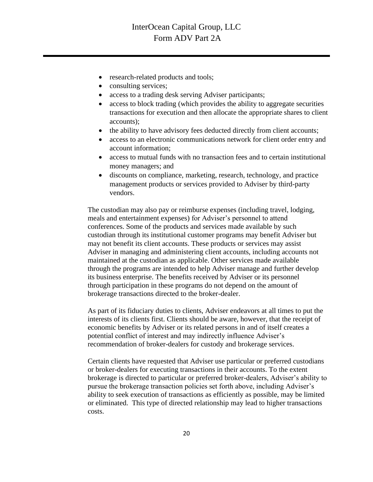- research-related products and tools;
- consulting services;
- access to a trading desk serving Adviser participants;
- access to block trading (which provides the ability to aggregate securities transactions for execution and then allocate the appropriate shares to client accounts);
- the ability to have advisory fees deducted directly from client accounts;
- access to an electronic communications network for client order entry and account information;
- access to mutual funds with no transaction fees and to certain institutional money managers; and
- discounts on compliance, marketing, research, technology, and practice management products or services provided to Adviser by third-party vendors.

The custodian may also pay or reimburse expenses (including travel, lodging, meals and entertainment expenses) for Adviser's personnel to attend conferences. Some of the products and services made available by such custodian through its institutional customer programs may benefit Adviser but may not benefit its client accounts. These products or services may assist Adviser in managing and administering client accounts, including accounts not maintained at the custodian as applicable. Other services made available through the programs are intended to help Adviser manage and further develop its business enterprise. The benefits received by Adviser or its personnel through participation in these programs do not depend on the amount of brokerage transactions directed to the broker-dealer.

As part of its fiduciary duties to clients, Adviser endeavors at all times to put the interests of its clients first. Clients should be aware, however, that the receipt of economic benefits by Adviser or its related persons in and of itself creates a potential conflict of interest and may indirectly influence Adviser's recommendation of broker-dealers for custody and brokerage services.

Certain clients have requested that Adviser use particular or preferred custodians or broker-dealers for executing transactions in their accounts. To the extent brokerage is directed to particular or preferred broker-dealers, Adviser's ability to pursue the brokerage transaction policies set forth above, including Adviser's ability to seek execution of transactions as efficiently as possible, may be limited or eliminated. This type of directed relationship may lead to higher transactions costs.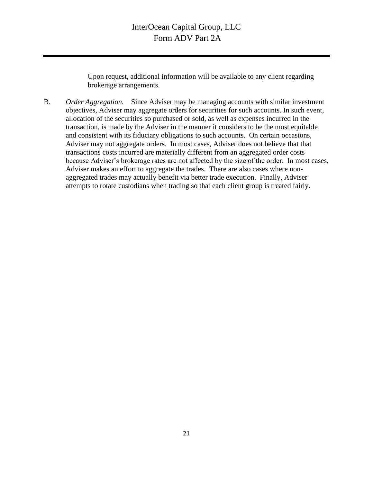Upon request, additional information will be available to any client regarding brokerage arrangements.

<span id="page-23-0"></span>B. *Order Aggregation.* Since Adviser may be managing accounts with similar investment objectives, Adviser may aggregate orders for securities for such accounts. In such event, allocation of the securities so purchased or sold, as well as expenses incurred in the transaction, is made by the Adviser in the manner it considers to be the most equitable and consistent with its fiduciary obligations to such accounts. On certain occasions, Adviser may not aggregate orders. In most cases, Adviser does not believe that that transactions costs incurred are materially different from an aggregated order costs because Adviser's brokerage rates are not affected by the size of the order. In most cases, Adviser makes an effort to aggregate the trades. There are also cases where nonaggregated trades may actually benefit via better trade execution. Finally, Adviser attempts to rotate custodians when trading so that each client group is treated fairly.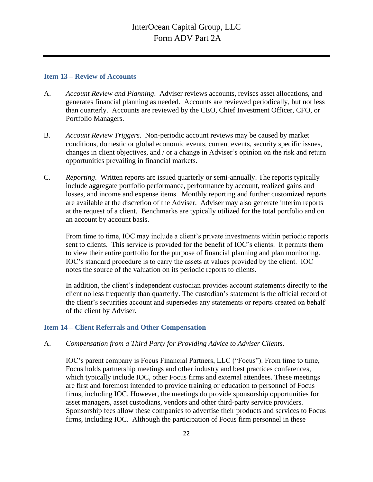#### **Item 13 – Review of Accounts**

- A. *Account Review and Planning*. Adviser reviews accounts, revises asset allocations, and generates financial planning as needed. Accounts are reviewed periodically, but not less than quarterly. Accounts are reviewed by the CEO, Chief Investment Officer, CFO, or Portfolio Managers.
- B. *Account Review Triggers*. Non-periodic account reviews may be caused by market conditions, domestic or global economic events, current events, security specific issues, changes in client objectives, and / or a change in Adviser's opinion on the risk and return opportunities prevailing in financial markets.
- C. *Reporting*. Written reports are issued quarterly or semi-annually. The reports typically include aggregate portfolio performance, performance by account, realized gains and losses, and income and expense items. Monthly reporting and further customized reports are available at the discretion of the Adviser. Adviser may also generate interim reports at the request of a client. Benchmarks are typically utilized for the total portfolio and on an account by account basis.

From time to time, IOC may include a client's private investments within periodic reports sent to clients. This service is provided for the benefit of IOC's clients. It permits them to view their entire portfolio for the purpose of financial planning and plan monitoring. IOC's standard procedure is to carry the assets at values provided by the client. IOC notes the source of the valuation on its periodic reports to clients.

In addition, the client's independent custodian provides account statements directly to the client no less frequently than quarterly. The custodian's statement is the official record of the client's securities account and supersedes any statements or reports created on behalf of the client by Adviser.

### <span id="page-24-0"></span>**Item 14 – Client Referrals and Other Compensation**

A. *Compensation from a Third Party for Providing Advice to Adviser Clients*.

IOC's parent company is Focus Financial Partners, LLC ("Focus"). From time to time, Focus holds partnership meetings and other industry and best practices conferences, which typically include IOC, other Focus firms and external attendees. These meetings are first and foremost intended to provide training or education to personnel of Focus firms, including IOC. However, the meetings do provide sponsorship opportunities for asset managers, asset custodians, vendors and other third-party service providers. Sponsorship fees allow these companies to advertise their products and services to Focus firms, including IOC. Although the participation of Focus firm personnel in these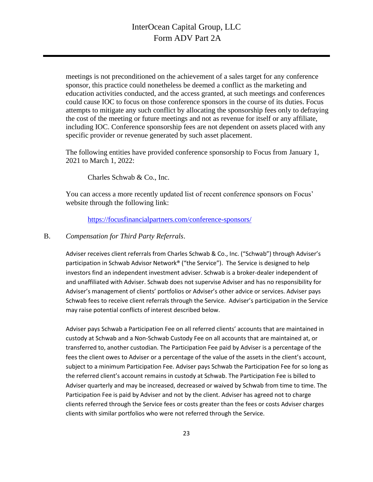meetings is not preconditioned on the achievement of a sales target for any conference sponsor, this practice could nonetheless be deemed a conflict as the marketing and education activities conducted, and the access granted, at such meetings and conferences could cause IOC to focus on those conference sponsors in the course of its duties. Focus attempts to mitigate any such conflict by allocating the sponsorship fees only to defraying the cost of the meeting or future meetings and not as revenue for itself or any affiliate, including IOC. Conference sponsorship fees are not dependent on assets placed with any specific provider or revenue generated by such asset placement.

The following entities have provided conference sponsorship to Focus from January 1, 2021 to March 1, 2022:

Charles Schwab & Co., Inc.

You can access a more recently updated list of recent conference sponsors on Focus' website through the following link:

<https://focusfinancialpartners.com/conference-sponsors/>

#### B. *Compensation for Third Party Referrals*.

Adviser receives client referrals from Charles Schwab & Co., Inc. ("Schwab") through Adviser's participation in Schwab Advisor Network® ("the Service"). The Service is designed to help investors find an independent investment adviser. Schwab is a broker-dealer independent of and unaffiliated with Adviser. Schwab does not supervise Adviser and has no responsibility for Adviser's management of clients' portfolios or Adviser's other advice or services. Adviser pays Schwab fees to receive client referrals through the Service. Adviser's participation in the Service may raise potential conflicts of interest described below.

Adviser pays Schwab a Participation Fee on all referred clients' accounts that are maintained in custody at Schwab and a Non-Schwab Custody Fee on all accounts that are maintained at, or transferred to, another custodian. The Participation Fee paid by Adviser is a percentage of the fees the client owes to Adviser or a percentage of the value of the assets in the client's account, subject to a minimum Participation Fee. Adviser pays Schwab the Participation Fee for so long as the referred client's account remains in custody at Schwab. The Participation Fee is billed to Adviser quarterly and may be increased, decreased or waived by Schwab from time to time. The Participation Fee is paid by Adviser and not by the client. Adviser has agreed not to charge clients referred through the Service fees or costs greater than the fees or costs Adviser charges clients with similar portfolios who were not referred through the Service.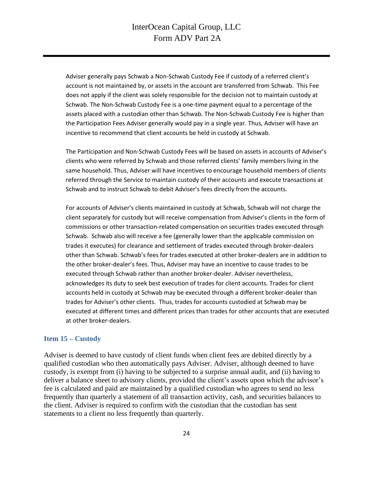Adviser generally pays Schwab a Non-Schwab Custody Fee if custody of a referred client's account is not maintained by, or assets in the account are transferred from Schwab. This Fee does not apply if the client was solely responsible for the decision not to maintain custody at Schwab. The Non-Schwab Custody Fee is a one-time payment equal to a percentage of the assets placed with a custodian other than Schwab. The Non-Schwab Custody Fee is higher than the Participation Fees Adviser generally would pay in a single year. Thus, Adviser will have an incentive to recommend that client accounts be held in custody at Schwab.

The Participation and Non-Schwab Custody Fees will be based on assets in accounts of Adviser's clients who were referred by Schwab and those referred clients' family members living in the same household. Thus, Adviser will have incentives to encourage household members of clients referred through the Service to maintain custody of their accounts and execute transactions at Schwab and to instruct Schwab to debit Adviser's fees directly from the accounts.

For accounts of Adviser's clients maintained in custody at Schwab, Schwab will not charge the client separately for custody but will receive compensation from Adviser's clients in the form of commissions or other transaction-related compensation on securities trades executed through Schwab. Schwab also will receive a fee (generally lower than the applicable commission on trades it executes) for clearance and settlement of trades executed through broker-dealers other than Schwab. Schwab's fees for trades executed at other broker-dealers are in addition to the other broker-dealer's fees. Thus, Adviser may have an incentive to cause trades to be executed through Schwab rather than another broker-dealer. Adviser nevertheless, acknowledges its duty to seek best execution of trades for client accounts. Trades for client accounts held in custody at Schwab may be executed through a different broker-dealer than trades for Adviser's other clients. Thus, trades for accounts custodied at Schwab may be executed at different times and different prices than trades for other accounts that are executed at other broker-dealers.

#### <span id="page-26-0"></span>**Item 15 – Custody**

Adviser is deemed to have custody of client funds when client fees are debited directly by a qualified custodian who then automatically pays Adviser. Adviser, although deemed to have custody, is exempt from (i) having to be subjected to a surprise annual audit, and (ii) having to deliver a balance sheet to advisory clients, provided the client's assets upon which the advisor's fee is calculated and paid are maintained by a qualified custodian who agrees to send no less frequently than quarterly a statement of all transaction activity, cash, and securities balances to the client. Adviser is required to confirm with the custodian that the custodian has sent statements to a client no less frequently than quarterly.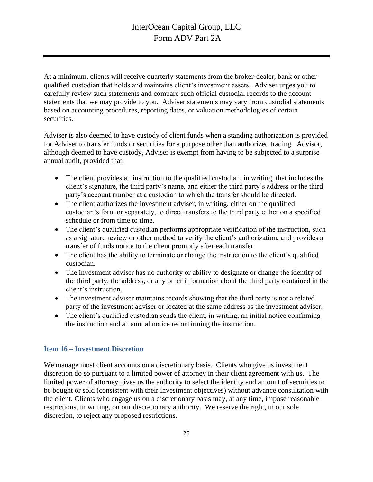At a minimum, clients will receive quarterly statements from the broker-dealer, bank or other qualified custodian that holds and maintains client's investment assets. Adviser urges you to carefully review such statements and compare such official custodial records to the account statements that we may provide to you. Adviser statements may vary from custodial statements based on accounting procedures, reporting dates, or valuation methodologies of certain securities.

Adviser is also deemed to have custody of client funds when a standing authorization is provided for Adviser to transfer funds or securities for a purpose other than authorized trading. Advisor, although deemed to have custody, Adviser is exempt from having to be subjected to a surprise annual audit, provided that:

- The client provides an instruction to the qualified custodian, in writing, that includes the client's signature, the third party's name, and either the third party's address or the third party's account number at a custodian to which the transfer should be directed.
- The client authorizes the investment adviser, in writing, either on the qualified custodian's form or separately, to direct transfers to the third party either on a specified schedule or from time to time.
- The client's qualified custodian performs appropriate verification of the instruction, such as a signature review or other method to verify the client's authorization, and provides a transfer of funds notice to the client promptly after each transfer.
- The client has the ability to terminate or change the instruction to the client's qualified custodian.
- The investment adviser has no authority or ability to designate or change the identity of the third party, the address, or any other information about the third party contained in the client's instruction.
- The investment adviser maintains records showing that the third party is not a related party of the investment adviser or located at the same address as the investment adviser.
- The client's qualified custodian sends the client, in writing, an initial notice confirming the instruction and an annual notice reconfirming the instruction.

### <span id="page-27-0"></span>**Item 16 – Investment Discretion**

We manage most client accounts on a discretionary basis. Clients who give us investment discretion do so pursuant to a limited power of attorney in their client agreement with us. The limited power of attorney gives us the authority to select the identity and amount of securities to be bought or sold (consistent with their investment objectives) without advance consultation with the client. Clients who engage us on a discretionary basis may, at any time, impose reasonable restrictions, in writing, on our discretionary authority. We reserve the right, in our sole discretion, to reject any proposed restrictions.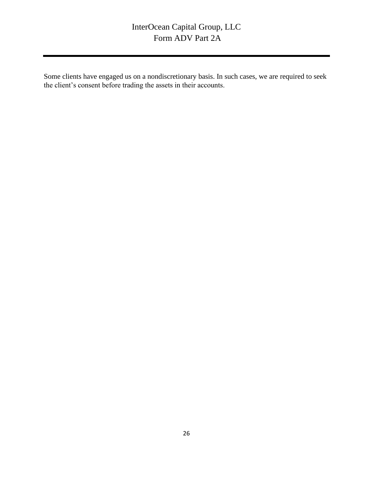<span id="page-28-0"></span>Some clients have engaged us on a nondiscretionary basis. In such cases, we are required to seek the client's consent before trading the assets in their accounts.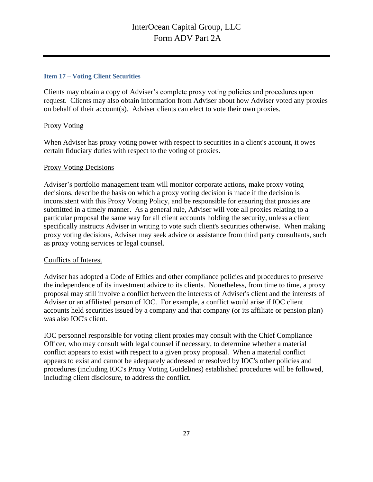#### **Item 17 – Voting Client Securities**

Clients may obtain a copy of Adviser's complete proxy voting policies and procedures upon request. Clients may also obtain information from Adviser about how Adviser voted any proxies on behalf of their account(s). Adviser clients can elect to vote their own proxies.

### Proxy Voting

When Adviser has proxy voting power with respect to securities in a client's account, it owes certain fiduciary duties with respect to the voting of proxies.

### Proxy Voting Decisions

Adviser's portfolio management team will monitor corporate actions, make proxy voting decisions, describe the basis on which a proxy voting decision is made if the decision is inconsistent with this Proxy Voting Policy, and be responsible for ensuring that proxies are submitted in a timely manner. As a general rule, Adviser will vote all proxies relating to a particular proposal the same way for all client accounts holding the security, unless a client specifically instructs Adviser in writing to vote such client's securities otherwise. When making proxy voting decisions, Adviser may seek advice or assistance from third party consultants, such as proxy voting services or legal counsel.

### Conflicts of Interest

Adviser has adopted a Code of Ethics and other compliance policies and procedures to preserve the independence of its investment advice to its clients. Nonetheless, from time to time, a proxy proposal may still involve a conflict between the interests of Adviser's client and the interests of Adviser or an affiliated person of IOC. For example, a conflict would arise if IOC client accounts held securities issued by a company and that company (or its affiliate or pension plan) was also IOC's client.

IOC personnel responsible for voting client proxies may consult with the Chief Compliance Officer, who may consult with legal counsel if necessary, to determine whether a material conflict appears to exist with respect to a given proxy proposal. When a material conflict appears to exist and cannot be adequately addressed or resolved by IOC's other policies and procedures (including IOC's Proxy Voting Guidelines) established procedures will be followed, including client disclosure, to address the conflict.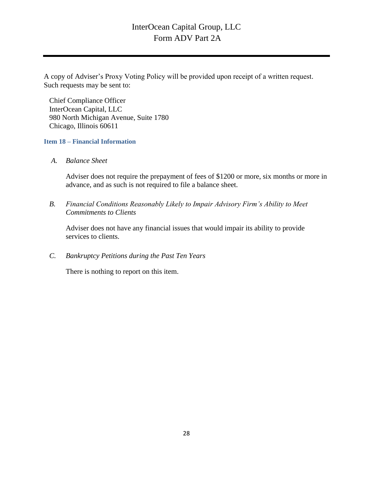A copy of Adviser's Proxy Voting Policy will be provided upon receipt of a written request. Such requests may be sent to:

Chief Compliance Officer InterOcean Capital, LLC 980 North Michigan Avenue, Suite 1780 Chicago, Illinois 60611

<span id="page-30-0"></span>**Item 18 – Financial Information**

*A. Balance Sheet*

Adviser does not require the prepayment of fees of \$1200 or more, six months or more in advance, and as such is not required to file a balance sheet.

*B. Financial Conditions Reasonably Likely to Impair Advisory Firm's Ability to Meet Commitments to Clients*

Adviser does not have any financial issues that would impair its ability to provide services to clients.

*C. Bankruptcy Petitions during the Past Ten Years*

There is nothing to report on this item.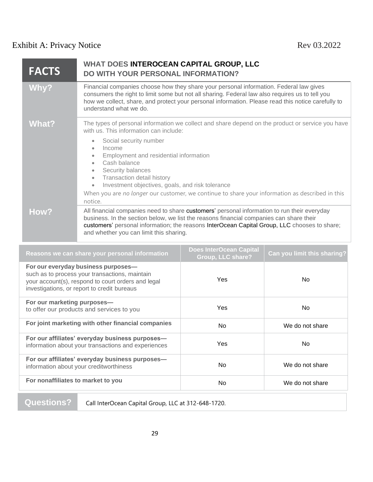# <span id="page-31-0"></span>Exhibit A: Privacy Notice Rev 03.2022

| <b>FACTS</b> | WHAT DOES INTEROCEAN CAPITAL GROUP, LLC<br>DO WITH YOUR PERSONAL INFORMATION?                                                                                                                                                                                                                                                                                                                 |
|--------------|-----------------------------------------------------------------------------------------------------------------------------------------------------------------------------------------------------------------------------------------------------------------------------------------------------------------------------------------------------------------------------------------------|
| Why?         | Financial companies choose how they share your personal information. Federal law gives<br>consumers the right to limit some but not all sharing. Federal law also requires us to tell you<br>how we collect, share, and protect your personal information. Please read this notice carefully to<br>understand what we do.                                                                     |
| What?        | The types of personal information we collect and share depend on the product or service you have<br>with us. This information can include:                                                                                                                                                                                                                                                    |
|              | Social security number<br>$\bullet$<br>Income<br>$\bullet$<br>Employment and residential information<br>Cash balance<br>$\bullet$<br>Security balances<br>$\bullet$<br>Transaction detail history<br>$\bullet$<br>Investment objectives, goals, and risk tolerance<br>$\bullet$<br>When you are no longer our customer, we continue to share your information as described in this<br>notice. |
| How?         | All financial companies need to share customers' personal information to run their everyday<br>business. In the section below, we list the reasons financial companies can share their<br>customers' personal information; the reasons InterOcean Capital Group, LLC chooses to share;<br>and whether you can limit this sharing.                                                             |

| Reasons we can share your personal information                                                                                                                                             | <b>Does InterOcean Capital</b><br><b>Group, LLC share?</b> | Can you limit this sharing? |
|--------------------------------------------------------------------------------------------------------------------------------------------------------------------------------------------|------------------------------------------------------------|-----------------------------|
| For our everyday business purposes-<br>such as to process your transactions, maintain<br>your account(s), respond to court orders and legal<br>investigations, or report to credit bureaus | Yes                                                        | No.                         |
| For our marketing purposes-<br>to offer our products and services to you                                                                                                                   | <b>Yes</b>                                                 | No.                         |
| For joint marketing with other financial companies                                                                                                                                         | <b>No</b>                                                  | We do not share             |
| For our affiliates' everyday business purposes-<br>information about your transactions and experiences                                                                                     | <b>Yes</b>                                                 | N <sub>o</sub>              |
| For our affiliates' everyday business purposes-<br>information about your creditworthiness                                                                                                 | <b>No</b>                                                  | We do not share             |
| For nonaffiliates to market to you                                                                                                                                                         | <b>No</b>                                                  | We do not share             |

**Questions?** Call InterOcean Capital Group, LLC at 312-648-1720.